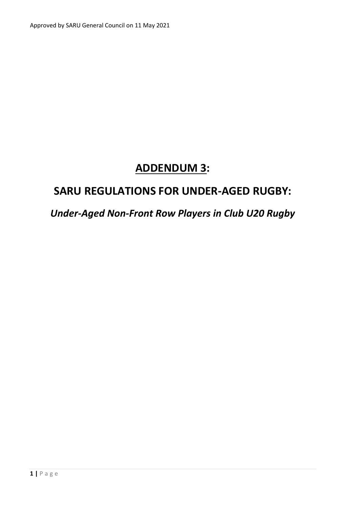# **ADDENDUM 3:**

## **SARU REGULATIONS FOR UNDER-AGED RUGBY:**

### *Under-Aged Non-Front Row Players in Club U20 Rugby*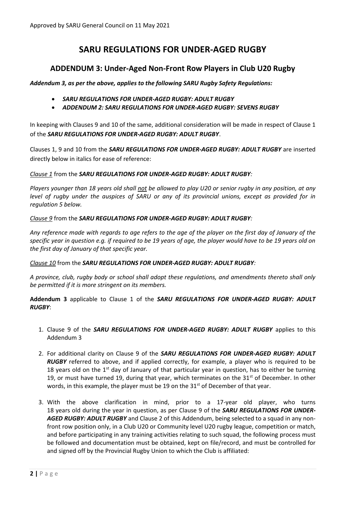#### **SARU REGULATIONS FOR UNDER-AGED RUGBY**

#### **ADDENDUM 3: Under-Aged Non-Front Row Players in Club U20 Rugby**

*Addendum 3, as per the above, applies to the following SARU Rugby Safety Regulations:* 

- *SARU REGULATIONS FOR UNDER‐AGED RUGBY: ADULT RUGBY*
- *ADDENDUM 2: SARU REGULATIONS FOR UNDER‐AGED RUGBY: SEVENS RUGBY*

In keeping with Clauses 9 and 10 of the same, additional consideration will be made in respect of Clause 1 of the *SARU REGULATIONS FOR UNDER‐AGED RUGBY: ADULT RUGBY*.

Clauses 1, 9 and 10 from the *SARU REGULATIONS FOR UNDER‐AGED RUGBY: ADULT RUGBY* are inserted directly below in italics for ease of reference:

*Clause 1* from the *SARU REGULATIONS FOR UNDER‐AGED RUGBY: ADULT RUGBY:*

*Players younger than 18 years old shall not be allowed to play U20 or senior rugby in any position, at any*  level of rugby under the auspices of SARU or any of its provincial unions, except as provided for in *regulation 5 below.*

*Clause 9* from the *SARU REGULATIONS FOR UNDER‐AGED RUGBY: ADULT RUGBY:*

*Any reference made with regards to age refers to the age of the player on the first day of January of the specific year in question e.g. if required to be 19 years of age, the player would have to be 19 years old on the first day of January of that specific year.*

*Clause 10* from the *SARU REGULATIONS FOR UNDER‐AGED RUGBY: ADULT RUGBY:*

*A province, club, rugby body or school shall adopt these regulations, and amendments thereto shall only be permitted if it is more stringent on its members.*

**Addendum 3** applicable to Clause 1 of the *SARU REGULATIONS FOR UNDER‐AGED RUGBY: ADULT RUGBY*:

- 1. Clause 9 of the **SARU REGULATIONS FOR UNDER-AGED RUGBY: ADULT RUGBY** applies to this Addendum 3
- 2. For additional clarity on Clause 9 of the *SARU REGULATIONS FOR UNDER‐AGED RUGBY: ADULT RUGBY* referred to above, and if applied correctly, for example, a player who is required to be 18 years old on the 1<sup>st</sup> day of January of that particular year in question, has to either be turning 19, or must have turned 19, during that year, which terminates on the  $31<sup>st</sup>$  of December. In other words, in this example, the player must be 19 on the  $31<sup>st</sup>$  of December of that year.
- 3. With the above clarification in mind, prior to a 17-year old player, who turns 18 years old during the year in question, as per Clause 9 of the *SARU REGULATIONS FOR UNDER‐ AGED RUGBY: ADULT RUGBY* and Clause 2 of this Addendum, being selected to a squad in any nonfront row position only, in a Club U20 or Community level U20 rugby league, competition or match, and before participating in any training activities relating to such squad, the following process must be followed and documentation must be obtained, kept on file/record, and must be controlled for and signed off by the Provincial Rugby Union to which the Club is affiliated: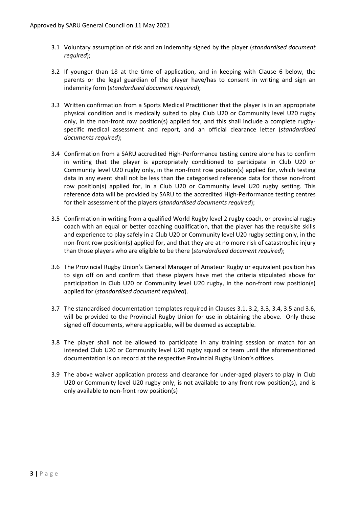- 3.1 Voluntary assumption of risk and an indemnity signed by the player (*standardised document required*);
- 3.2 If younger than 18 at the time of application, and in keeping with Clause 6 below, the parents or the legal guardian of the player have/has to consent in writing and sign an indemnity form (*standardised document required*);
- 3.3 Written confirmation from a Sports Medical Practitioner that the player is in an appropriate physical condition and is medically suited to play Club U20 or Community level U20 rugby only, in the non-front row position(s) applied for, and this shall include a complete rugbyspecific medical assessment and report, and an official clearance letter (*standardised documents required*);
- 3.4 Confirmation from a SARU accredited High-Performance testing centre alone has to confirm in writing that the player is appropriately conditioned to participate in Club U20 or Community level U20 rugby only, in the non-front row position(s) applied for, which testing data in any event shall not be less than the categorised reference data for those non-front row position(s) applied for, in a Club U20 or Community level U20 rugby setting. This reference data will be provided by SARU to the accredited High-Performance testing centres for their assessment of the players (*standardised documents required*);
- 3.5 Confirmation in writing from a qualified World Rugby level 2 rugby coach, or provincial rugby coach with an equal or better coaching qualification, that the player has the requisite skills and experience to play safely in a Club U20 or Community level U20 rugby setting only, in the non-front row position(s) applied for, and that they are at no more risk of catastrophic injury than those players who are eligible to be there (*standardised document required*);
- 3.6 The Provincial Rugby Union's General Manager of Amateur Rugby or equivalent position has to sign off on and confirm that these players have met the criteria stipulated above for participation in Club U20 or Community level U20 rugby, in the non-front row position(s) applied for (*standardised document required*).
- 3.7 The standardised documentation templates required in Clauses 3.1, 3.2, 3.3, 3.4, 3.5 and 3.6, will be provided to the Provincial Rugby Union for use in obtaining the above. Only these signed off documents, where applicable, will be deemed as acceptable.
- 3.8 The player shall not be allowed to participate in any training session or match for an intended Club U20 or Community level U20 rugby squad or team until the aforementioned documentation is on record at the respective Provincial Rugby Union's offices.
- 3.9 The above waiver application process and clearance for under-aged players to play in Club U20 or Community level U20 rugby only, is not available to any front row position(s), and is only available to non-front row position(s)